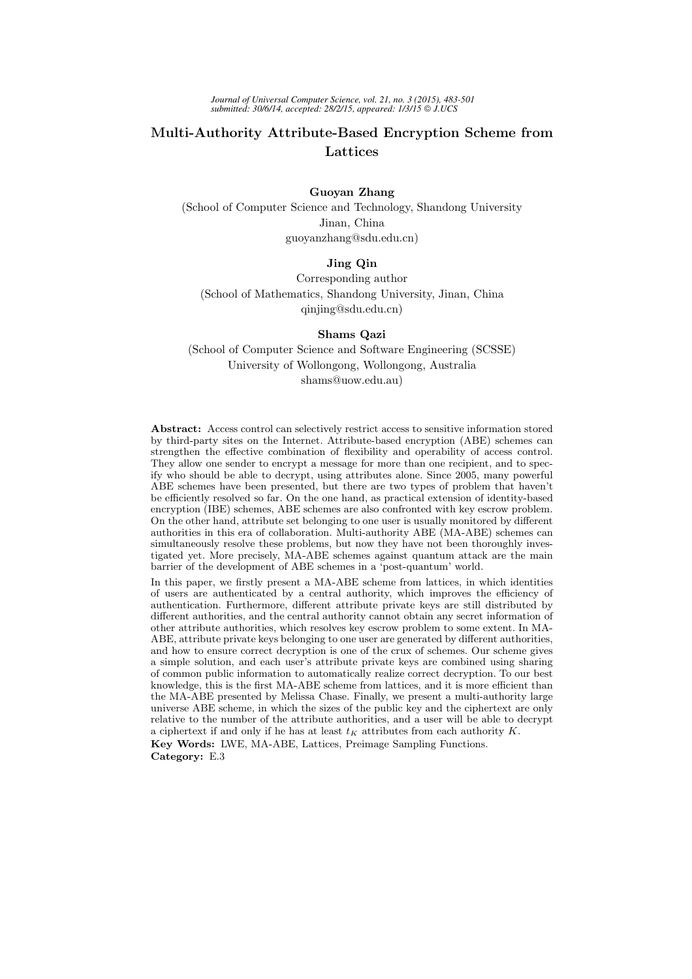*Journal of Universal Computer Science, vol. 21, no. 3 (2015), 483-501 submitted: 30/6/14, accepted: 28/2/15, appeared: 1/3/15 J.UCS*

# Multi-Authority Attribute-Based Encryption Scheme from Lattices

### Guoyan Zhang

(School of Computer Science and Technology, Shandong University Jinan, China guoyanzhang@sdu.edu.cn)

### Jing Qin

Corresponding author (School of Mathematics, Shandong University, Jinan, China qinjing@sdu.edu.cn)

#### Shams Qazi

(School of Computer Science and Software Engineering (SCSSE) University of Wollongong, Wollongong, Australia shams@uow.edu.au)

Abstract: Access control can selectively restrict access to sensitive information stored by third-party sites on the Internet. Attribute-based encryption (ABE) schemes can strengthen the effective combination of flexibility and operability of access control. They allow one sender to encrypt a message for more than one recipient, and to specify who should be able to decrypt, using attributes alone. Since 2005, many powerful ABE schemes have been presented, but there are two types of problem that haven't be efficiently resolved so far. On the one hand, as practical extension of identity-based encryption (IBE) schemes, ABE schemes are also confronted with key escrow problem. On the other hand, attribute set belonging to one user is usually monitored by different authorities in this era of collaboration. Multi-authority ABE (MA-ABE) schemes can simultaneously resolve these problems, but now they have not been thoroughly investigated yet. More precisely, MA-ABE schemes against quantum attack are the main barrier of the development of ABE schemes in a 'post-quantum' world.

In this paper, we firstly present a MA-ABE scheme from lattices, in which identities of users are authenticated by a central authority, which improves the efficiency of authentication. Furthermore, different attribute private keys are still distributed by different authorities, and the central authority cannot obtain any secret information of other attribute authorities, which resolves key escrow problem to some extent. In MA-ABE, attribute private keys belonging to one user are generated by different authorities, and how to ensure correct decryption is one of the crux of schemes. Our scheme gives a simple solution, and each user's attribute private keys are combined using sharing of common public information to automatically realize correct decryption. To our best knowledge, this is the first MA-ABE scheme from lattices, and it is more efficient than the MA-ABE presented by Melissa Chase. Finally, we present a multi-authority large universe ABE scheme, in which the sizes of the public key and the ciphertext are only relative to the number of the attribute authorities, and a user will be able to decrypt a ciphertext if and only if he has at least  $t_K$  attributes from each authority K. Key Words: LWE, MA-ABE, Lattices, Preimage Sampling Functions. Category: E.3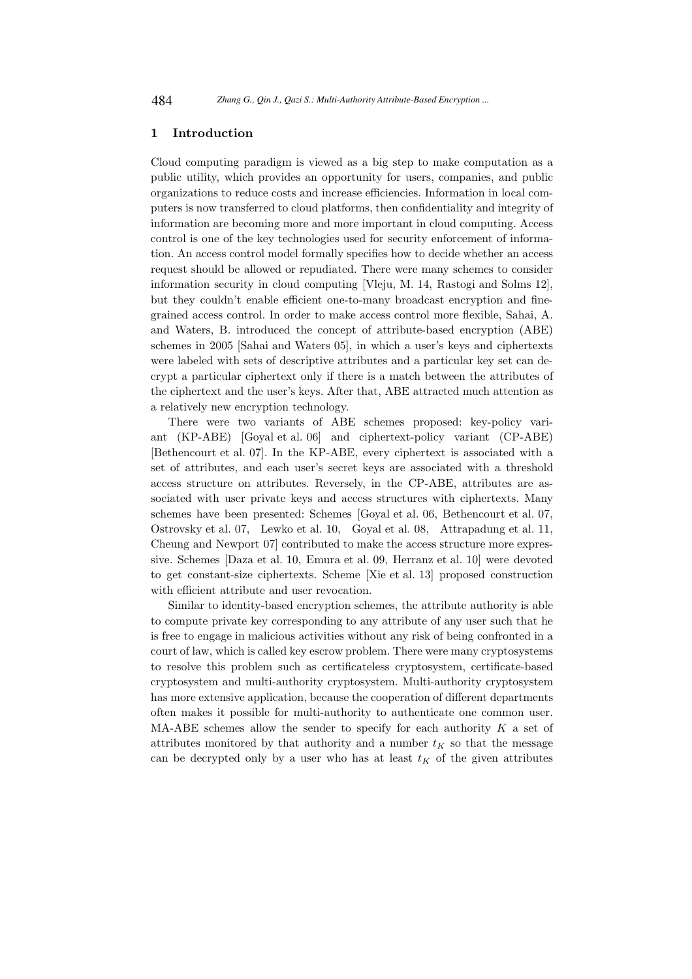### 1 Introduction

Cloud computing paradigm is viewed as a big step to make computation as a public utility, which provides an opportunity for users, companies, and public organizations to reduce costs and increase efficiencies. Information in local computers is now transferred to cloud platforms, then confidentiality and integrity of information are becoming more and more important in cloud computing. Access control is one of the key technologies used for security enforcement of information. An access control model formally specifies how to decide whether an access request should be allowed or repudiated. There were many schemes to consider information security in cloud computing [Vleju, M. 14, Rastogi and Solms 12], but they couldn't enable efficient one-to-many broadcast encryption and finegrained access control. In order to make access control more flexible, Sahai, A. and Waters, B. introduced the concept of attribute-based encryption (ABE) schemes in 2005 [Sahai and Waters 05], in which a user's keys and ciphertexts were labeled with sets of descriptive attributes and a particular key set can decrypt a particular ciphertext only if there is a match between the attributes of the ciphertext and the user's keys. After that, ABE attracted much attention as a relatively new encryption technology.

There were two variants of ABE schemes proposed: key-policy variant (KP-ABE) [Goyal et al. 06] and ciphertext-policy variant (CP-ABE) [Bethencourt et al. 07]. In the KP-ABE, every ciphertext is associated with a set of attributes, and each user's secret keys are associated with a threshold access structure on attributes. Reversely, in the CP-ABE, attributes are associated with user private keys and access structures with ciphertexts. Many schemes have been presented: Schemes [Goyal et al. 06, Bethencourt et al. 07, Ostrovsky et al. 07, Lewko et al. 10, Goyal et al. 08, Attrapadung et al. 11, Cheung and Newport 07] contributed to make the access structure more expressive. Schemes [Daza et al. 10, Emura et al. 09, Herranz et al. 10] were devoted to get constant-size ciphertexts. Scheme [Xie et al. 13] proposed construction with efficient attribute and user revocation.

Similar to identity-based encryption schemes, the attribute authority is able to compute private key corresponding to any attribute of any user such that he is free to engage in malicious activities without any risk of being confronted in a court of law, which is called key escrow problem. There were many cryptosystems to resolve this problem such as certificateless cryptosystem, certificate-based cryptosystem and multi-authority cryptosystem. Multi-authority cryptosystem has more extensive application, because the cooperation of different departments often makes it possible for multi-authority to authenticate one common user. MA-ABE schemes allow the sender to specify for each authority  $K$  a set of attributes monitored by that authority and a number  $t_K$  so that the message can be decrypted only by a user who has at least  $t_K$  of the given attributes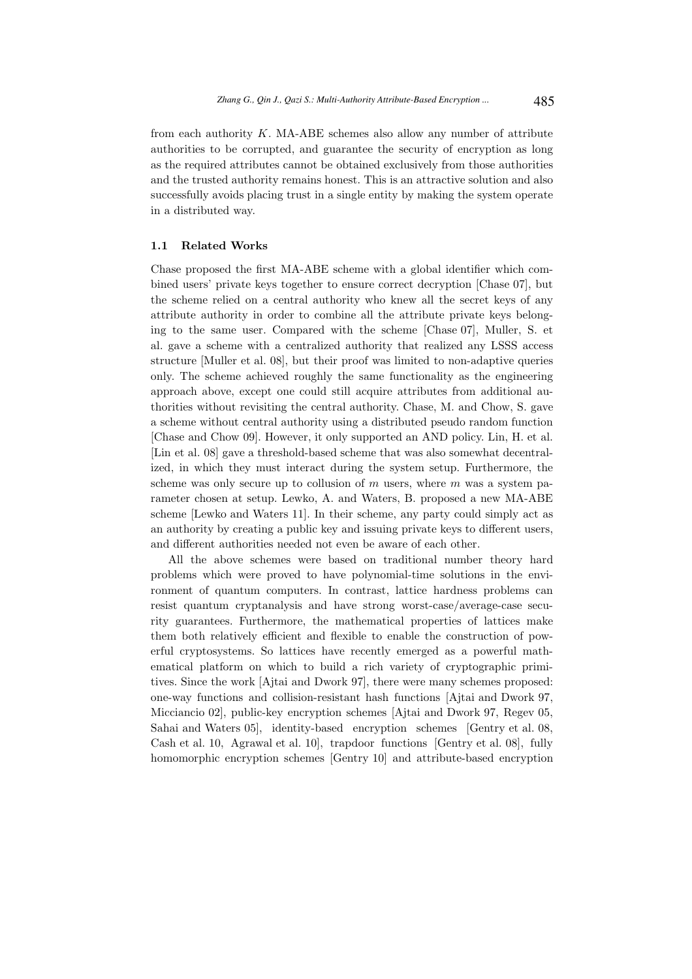from each authority  $K$ . MA-ABE schemes also allow any number of attribute authorities to be corrupted, and guarantee the security of encryption as long as the required attributes cannot be obtained exclusively from those authorities and the trusted authority remains honest. This is an attractive solution and also successfully avoids placing trust in a single entity by making the system operate in a distributed way.

### 1.1 Related Works

Chase proposed the first MA-ABE scheme with a global identifier which combined users' private keys together to ensure correct decryption [Chase 07], but the scheme relied on a central authority who knew all the secret keys of any attribute authority in order to combine all the attribute private keys belonging to the same user. Compared with the scheme [Chase 07], Muller, S. et al. gave a scheme with a centralized authority that realized any LSSS access structure [Muller et al. 08], but their proof was limited to non-adaptive queries only. The scheme achieved roughly the same functionality as the engineering approach above, except one could still acquire attributes from additional authorities without revisiting the central authority. Chase, M. and Chow, S. gave a scheme without central authority using a distributed pseudo random function [Chase and Chow 09]. However, it only supported an AND policy. Lin, H. et al. [Lin et al. 08] gave a threshold-based scheme that was also somewhat decentralized, in which they must interact during the system setup. Furthermore, the scheme was only secure up to collusion of  $m$  users, where  $m$  was a system parameter chosen at setup. Lewko, A. and Waters, B. proposed a new MA-ABE scheme [Lewko and Waters 11]. In their scheme, any party could simply act as an authority by creating a public key and issuing private keys to different users, and different authorities needed not even be aware of each other.

All the above schemes were based on traditional number theory hard problems which were proved to have polynomial-time solutions in the environment of quantum computers. In contrast, lattice hardness problems can resist quantum cryptanalysis and have strong worst-case/average-case security guarantees. Furthermore, the mathematical properties of lattices make them both relatively efficient and flexible to enable the construction of powerful cryptosystems. So lattices have recently emerged as a powerful mathematical platform on which to build a rich variety of cryptographic primitives. Since the work [Ajtai and Dwork 97], there were many schemes proposed: one-way functions and collision-resistant hash functions [Ajtai and Dwork 97, Micciancio 02], public-key encryption schemes [Ajtai and Dwork 97, Regev 05, Sahai and Waters 05], identity-based encryption schemes [Gentry et al. 08, Cash et al. 10, Agrawal et al. 10], trapdoor functions [Gentry et al. 08], fully homomorphic encryption schemes [Gentry 10] and attribute-based encryption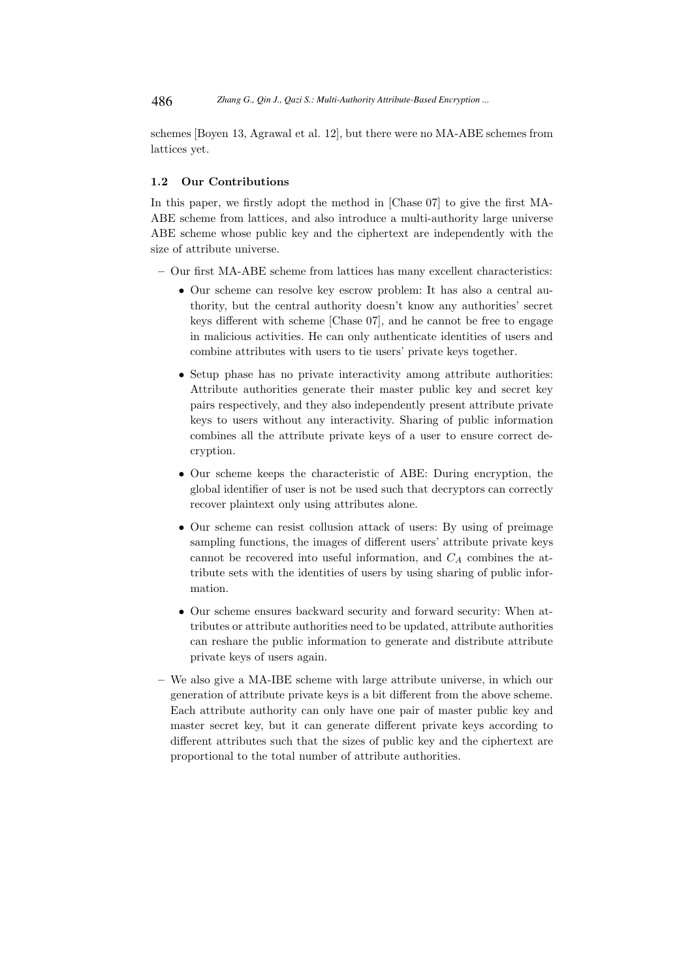schemes [Boyen 13, Agrawal et al. 12], but there were no MA-ABE schemes from lattices yet.

### 1.2 Our Contributions

In this paper, we firstly adopt the method in [Chase 07] to give the first MA-ABE scheme from lattices, and also introduce a multi-authority large universe ABE scheme whose public key and the ciphertext are independently with the size of attribute universe.

- Our first MA-ABE scheme from lattices has many excellent characteristics:
	- Our scheme can resolve key escrow problem: It has also a central authority, but the central authority doesn't know any authorities' secret keys different with scheme [Chase 07], and he cannot be free to engage in malicious activities. He can only authenticate identities of users and combine attributes with users to tie users' private keys together.
	- Setup phase has no private interactivity among attribute authorities: Attribute authorities generate their master public key and secret key pairs respectively, and they also independently present attribute private keys to users without any interactivity. Sharing of public information combines all the attribute private keys of a user to ensure correct decryption.
	- Our scheme keeps the characteristic of ABE: During encryption, the global identifier of user is not be used such that decryptors can correctly recover plaintext only using attributes alone.
	- Our scheme can resist collusion attack of users: By using of preimage sampling functions, the images of different users' attribute private keys cannot be recovered into useful information, and  $C_A$  combines the attribute sets with the identities of users by using sharing of public information.
	- Our scheme ensures backward security and forward security: When attributes or attribute authorities need to be updated, attribute authorities can reshare the public information to generate and distribute attribute private keys of users again.
- We also give a MA-IBE scheme with large attribute universe, in which our generation of attribute private keys is a bit different from the above scheme. Each attribute authority can only have one pair of master public key and master secret key, but it can generate different private keys according to different attributes such that the sizes of public key and the ciphertext are proportional to the total number of attribute authorities.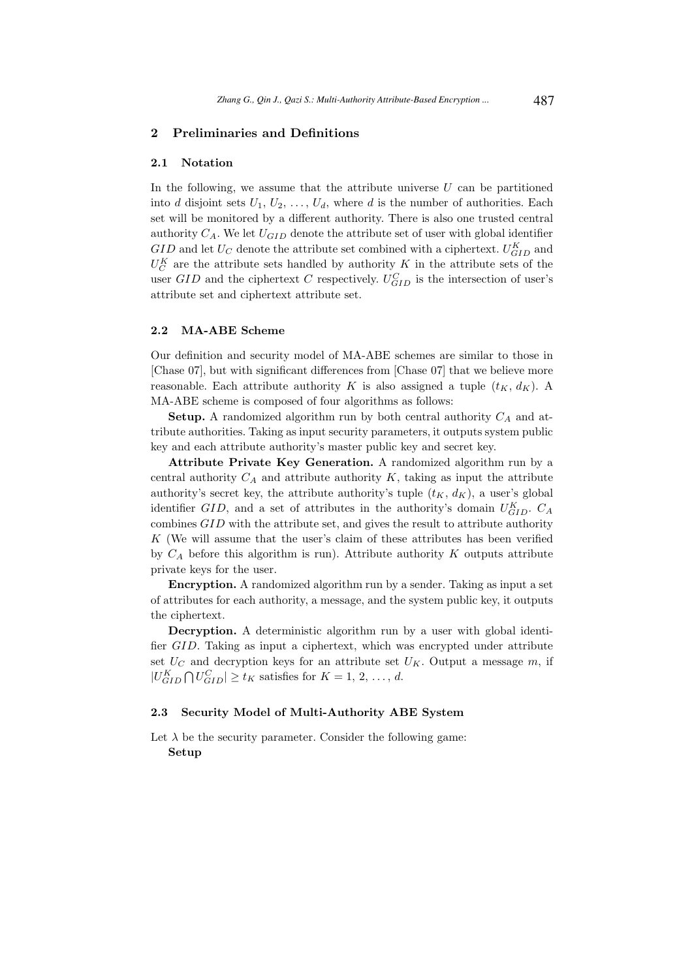### 2 Preliminaries and Definitions

#### 2.1 Notation

In the following, we assume that the attribute universe  $U$  can be partitioned into d disjoint sets  $U_1, U_2, \ldots, U_d$ , where d is the number of authorities. Each set will be monitored by a different authority. There is also one trusted central authority  $C_A$ . We let  $U_{GID}$  denote the attribute set of user with global identifier  $GID$  and let  $U_C$  denote the attribute set combined with a ciphertext.  $U_{GID}^K$  and  $U_C^K$  are the attribute sets handled by authority K in the attribute sets of the user  $GID$  and the ciphertext C respectively.  $U_{GID}^{C}$  is the intersection of user's attribute set and ciphertext attribute set.

### 2.2 MA-ABE Scheme

Our definition and security model of MA-ABE schemes are similar to those in [Chase 07], but with significant differences from [Chase 07] that we believe more reasonable. Each attribute authority K is also assigned a tuple  $(t_K, d_K)$ . A MA-ABE scheme is composed of four algorithms as follows:

**Setup.** A randomized algorithm run by both central authority  $C_A$  and attribute authorities. Taking as input security parameters, it outputs system public key and each attribute authority's master public key and secret key.

Attribute Private Key Generation. A randomized algorithm run by a central authority  $C_A$  and attribute authority K, taking as input the attribute authority's secret key, the attribute authority's tuple  $(t_K, d_K)$ , a user's global identifier *GID*, and a set of attributes in the authority's domain  $U_{GID}^K$ .  $C_A$ combines GID with the attribute set, and gives the result to attribute authority  $K$  (We will assume that the user's claim of these attributes has been verified by  $C_A$  before this algorithm is run). Attribute authority K outputs attribute private keys for the user.

Encryption. A randomized algorithm run by a sender. Taking as input a set of attributes for each authority, a message, and the system public key, it outputs the ciphertext.

Decryption. A deterministic algorithm run by a user with global identifier GID. Taking as input a ciphertext, which was encrypted under attribute set  $U_C$  and decryption keys for an attribute set  $U_K$ . Output a message m, if  $|U_{GID}^K \bigcap U_{GID}^C| \ge t_K$  satisfies for  $K = 1, 2, ..., d$ .

### 2.3 Security Model of Multi-Authority ABE System

Let  $\lambda$  be the security parameter. Consider the following game: Setup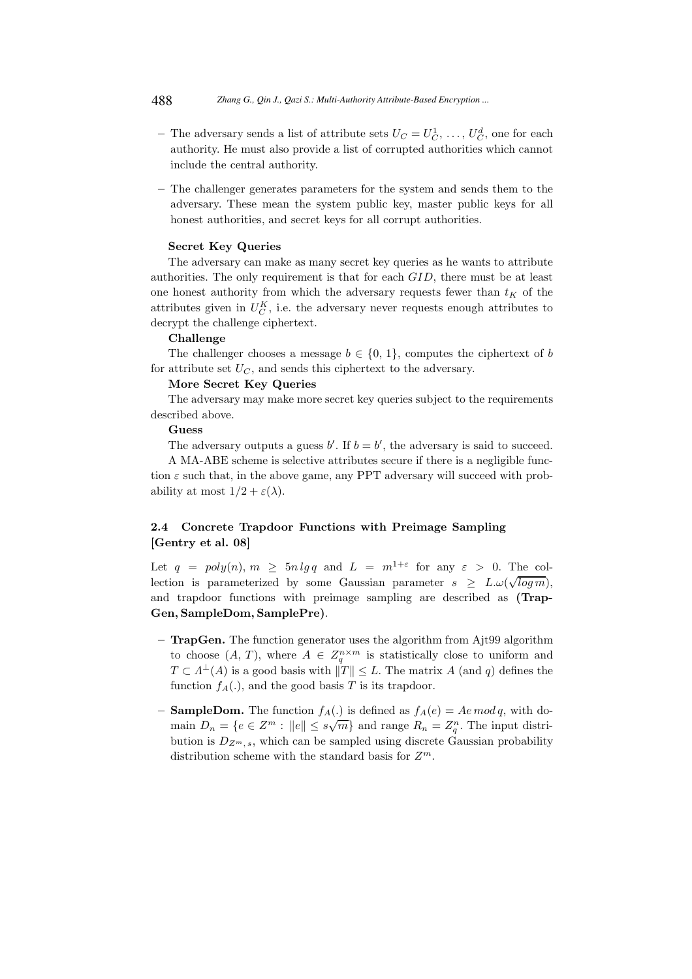- The adversary sends a list of attribute sets  $U_C = U_C^1, \ldots, U_C^d$ , one for each authority. He must also provide a list of corrupted authorities which cannot include the central authority.
- The challenger generates parameters for the system and sends them to the adversary. These mean the system public key, master public keys for all honest authorities, and secret keys for all corrupt authorities.

### Secret Key Queries

The adversary can make as many secret key queries as he wants to attribute authorities. The only requirement is that for each GID, there must be at least one honest authority from which the adversary requests fewer than  $t_K$  of the attributes given in  $U_C^K$ , i.e. the adversary never requests enough attributes to decrypt the challenge ciphertext.

### Challenge

The challenger chooses a message  $b \in \{0, 1\}$ , computes the ciphertext of b for attribute set  $U_C$ , and sends this ciphertext to the adversary.

#### More Secret Key Queries

The adversary may make more secret key queries subject to the requirements described above.

### Guess

The adversary outputs a guess  $b'$ . If  $b = b'$ , the adversary is said to succeed.

A MA-ABE scheme is selective attributes secure if there is a negligible function  $\varepsilon$  such that, in the above game, any PPT adversary will succeed with probability at most  $1/2 + \varepsilon(\lambda)$ .

# 2.4 Concrete Trapdoor Functions with Preimage Sampling [Gentry et al. 08]

Let  $q = poly(n)$ ,  $m \geq 5n \lg q$  and  $L = m^{1+\varepsilon}$  for any  $\varepsilon > 0$ . The collection is parameterized by some Gaussian parameter  $s \geq L.\omega(\sqrt{\log m})$ , and trapdoor functions with preimage sampling are described as (Trap-Gen, SampleDom, SamplePre).

- TrapGen. The function generator uses the algorithm from Ajt99 algorithm to choose  $(A, T)$ , where  $A \in Z_q^{n \times m}$  is statistically close to uniform and  $T \subset \Lambda^{\perp}(A)$  is a good basis with  $||T|| \leq L$ . The matrix A (and q) defines the function  $f_A(.)$ , and the good basis T is its trapdoor.
- **SampleDom.** The function  $f_A(.)$  is defined as  $f_A(e) = Ae \mod q$ , with domain  $D_n = \{e \in \mathbb{Z}^m : ||e|| \leq s\sqrt{m}\}\$ and range  $R_n = \mathbb{Z}_q^n$ . The input distribution is  $D_{Z^m,s}$ , which can be sampled using discrete Gaussian probability distribution scheme with the standard basis for  $Z^m$ .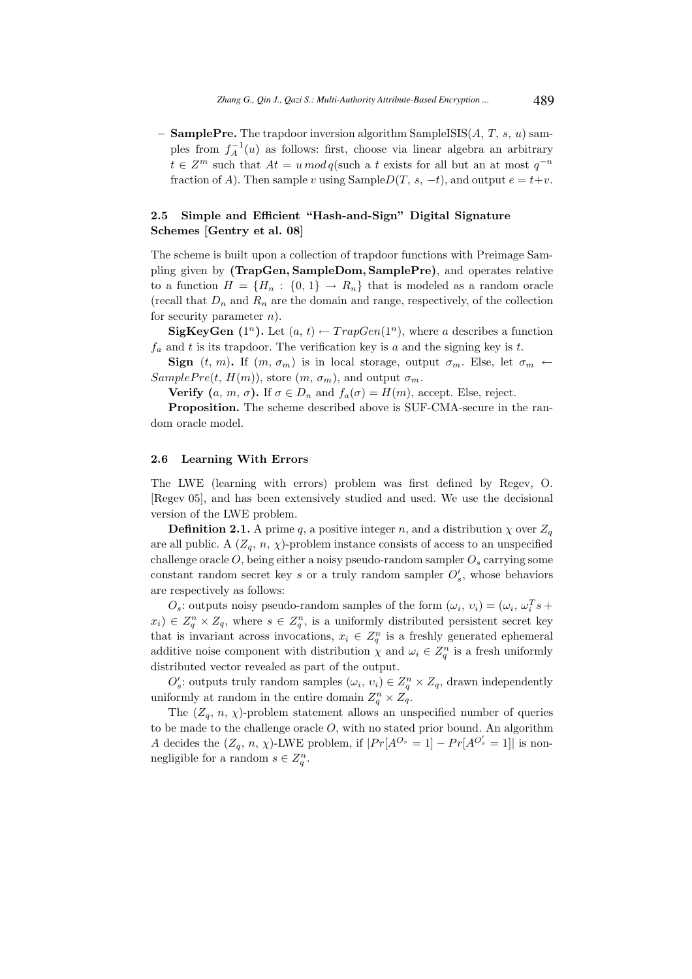– **SamplePre.** The trapdoor inversion algorithm SampleISIS $(A, T, s, u)$  samples from  $f_A^{-1}(u)$  as follows: first, choose via linear algebra an arbitrary  $t \in Z^m$  such that  $At = u \mod q$  (such a t exists for all but an at most  $q^{-n}$ fraction of A). Then sample v using SampleD(T, s, -t), and output  $e = t+v$ .

## 2.5 Simple and Efficient "Hash-and-Sign" Digital Signature Schemes [Gentry et al. 08]

The scheme is built upon a collection of trapdoor functions with Preimage Sampling given by (TrapGen, SampleDom, SamplePre), and operates relative to a function  $H = \{H_n : \{0, 1\} \to R_n\}$  that is modeled as a random oracle (recall that  $D_n$  and  $R_n$  are the domain and range, respectively, of the collection for security parameter  $n$ ).

**SigKeyGen** (1<sup>n</sup>). Let  $(a, t) \leftarrow TrapGen(1^n)$ , where a describes a function  $f_a$  and t is its trapdoor. The verification key is a and the signing key is t.

Sign  $(t, m)$ . If  $(m, \sigma_m)$  is in local storage, output  $\sigma_m$ . Else, let  $\sigma_m \leftarrow$  $SamplePre(t, H(m))$ , store  $(m, \sigma_m)$ , and output  $\sigma_m$ .

**Verify**  $(a, m, \sigma)$ . If  $\sigma \in D_n$  and  $f_a(\sigma) = H(m)$ , accept. Else, reject.

Proposition. The scheme described above is SUF-CMA-secure in the random oracle model.

#### 2.6 Learning With Errors

The LWE (learning with errors) problem was first defined by Regev, O. [Regev 05], and has been extensively studied and used. We use the decisional version of the LWE problem.

**Definition 2.1.** A prime q, a positive integer n, and a distribution  $\chi$  over  $Z_q$ are all public. A  $(Z_q, n, \chi)$ -problem instance consists of access to an unspecified challenge oracle  $O$ , being either a noisy pseudo-random sampler  $O_s$  carrying some constant random secret key s or a truly random sampler  $O'_{s}$ , whose behaviors are respectively as follows:

 $O_s$ : outputs noisy pseudo-random samples of the form  $(\omega_i, v_i) = (\omega_i, \omega_i^T s +$  $(x_i) \in Z_q^n \times Z_q$ , where  $s \in Z_q^n$ , is a uniformly distributed persistent secret key that is invariant across invocations,  $x_i \in Z_q^n$  is a freshly generated ephemeral additive noise component with distribution  $\chi$  and  $\omega_i \in Z_q^n$  is a fresh uniformly distributed vector revealed as part of the output.

 $O'_{s}$ : outputs truly random samples  $(\omega_i, v_i) \in Z_q^n \times Z_q$ , drawn independently uniformly at random in the entire domain  $Z_q^n \times Z_q$ .

The  $(Z_q, n, \chi)$ -problem statement allows an unspecified number of queries to be made to the challenge oracle  $O$ , with no stated prior bound. An algorithm A decides the  $(Z_q, n, \chi)$ -LWE problem, if  $|Pr[A^{O_s} = 1] - Pr[A^{O'_s} = 1]|$  is nonnegligible for a random  $s \in Z_q^n$ .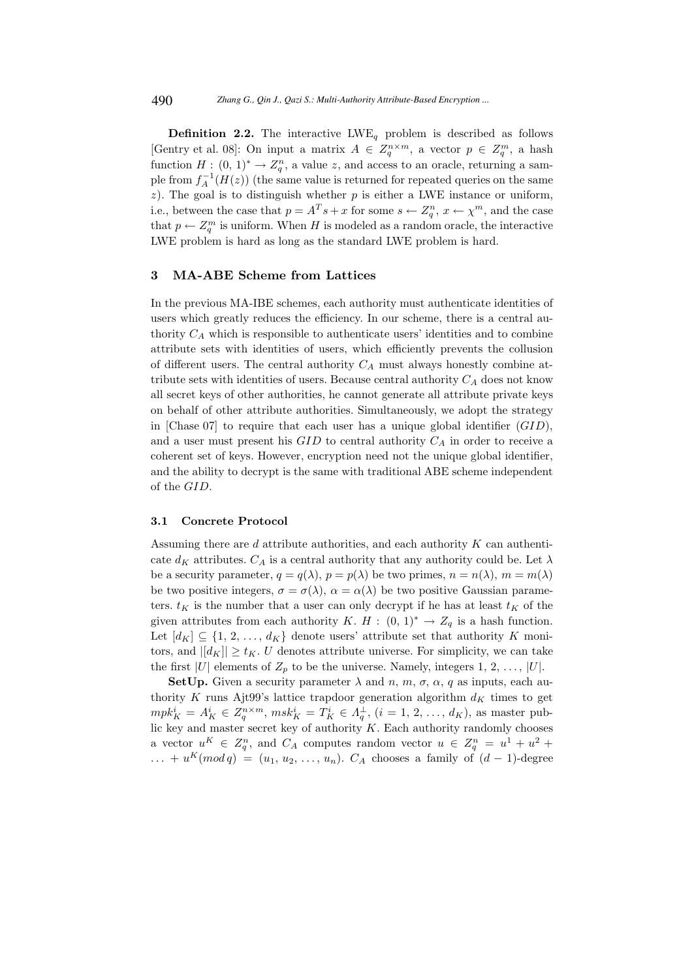**Definition 2.2.** The interactive  $LWE_q$  problem is described as follows [Gentry et al. 08]: On input a matrix  $A \in Z_q^{n \times m}$ , a vector  $p \in Z_q^m$ , a hash function  $H: (0, 1)^* \to Z_q^n$ , a value z, and access to an oracle, returning a sample from  $f_A^{-1}(H(z))$  (the same value is returned for repeated queries on the same  $z$ ). The goal is to distinguish whether  $p$  is either a LWE instance or uniform, i.e., between the case that  $p = A<sup>T</sup> s + x$  for some  $s \leftarrow Z_q^n$ ,  $x \leftarrow \chi^m$ , and the case that  $p \leftarrow Z_q^m$  is uniform. When H is modeled as a random oracle, the interactive LWE problem is hard as long as the standard LWE problem is hard.

### 3 MA-ABE Scheme from Lattices

In the previous MA-IBE schemes, each authority must authenticate identities of users which greatly reduces the efficiency. In our scheme, there is a central authority  $C_A$  which is responsible to authenticate users' identities and to combine attribute sets with identities of users, which efficiently prevents the collusion of different users. The central authority  $C_A$  must always honestly combine attribute sets with identities of users. Because central authority  $C_A$  does not know all secret keys of other authorities, he cannot generate all attribute private keys on behalf of other attribute authorities. Simultaneously, we adopt the strategy in [Chase 07] to require that each user has a unique global identifier  $(GID)$ , and a user must present his  $GID$  to central authority  $C_A$  in order to receive a coherent set of keys. However, encryption need not the unique global identifier, and the ability to decrypt is the same with traditional ABE scheme independent of the GID.

#### 3.1 Concrete Protocol

Assuming there are d attribute authorities, and each authority K can authenticate  $d_K$  attributes.  $C_A$  is a central authority that any authority could be. Let  $\lambda$ be a security parameter,  $q = q(\lambda)$ ,  $p = p(\lambda)$  be two primes,  $n = n(\lambda)$ ,  $m = m(\lambda)$ be two positive integers,  $\sigma = \sigma(\lambda)$ ,  $\alpha = \alpha(\lambda)$  be two positive Gaussian parameters.  $t_K$  is the number that a user can only decrypt if he has at least  $t_K$  of the given attributes from each authority K. H :  $(0, 1)^* \rightarrow Z_q$  is a hash function. Let  $[d_K] \subseteq \{1, 2, ..., d_K\}$  denote users' attribute set that authority K monitors, and  $||d_K|| \geq t_K$ . U denotes attribute universe. For simplicity, we can take the first |U| elements of  $Z_p$  to be the universe. Namely, integers 1, 2, ..., |U|.

**SetUp.** Given a security parameter  $\lambda$  and  $n, m, \sigma, \alpha, q$  as inputs, each authority K runs Ajt99's lattice trapdoor generation algorithm  $d_K$  times to get  $mpk_K^i = A_K^i \in Z_q^{n \times m}$ ,  $msk_K^i = T_K^i \in A_q^{\perp}$ ,  $(i = 1, 2, ..., d_K)$ , as master public key and master secret key of authority  $K$ . Each authority randomly chooses a vector  $u^K \in Z_q^n$ , and  $C_A$  computes random vector  $u \in Z_q^n = u^1 + u^2 +$  $\dots + u^K(mod\, q) = (u_1, u_2, \dots, u_n)$ .  $C_A$  chooses a family of  $(d-1)$ -degree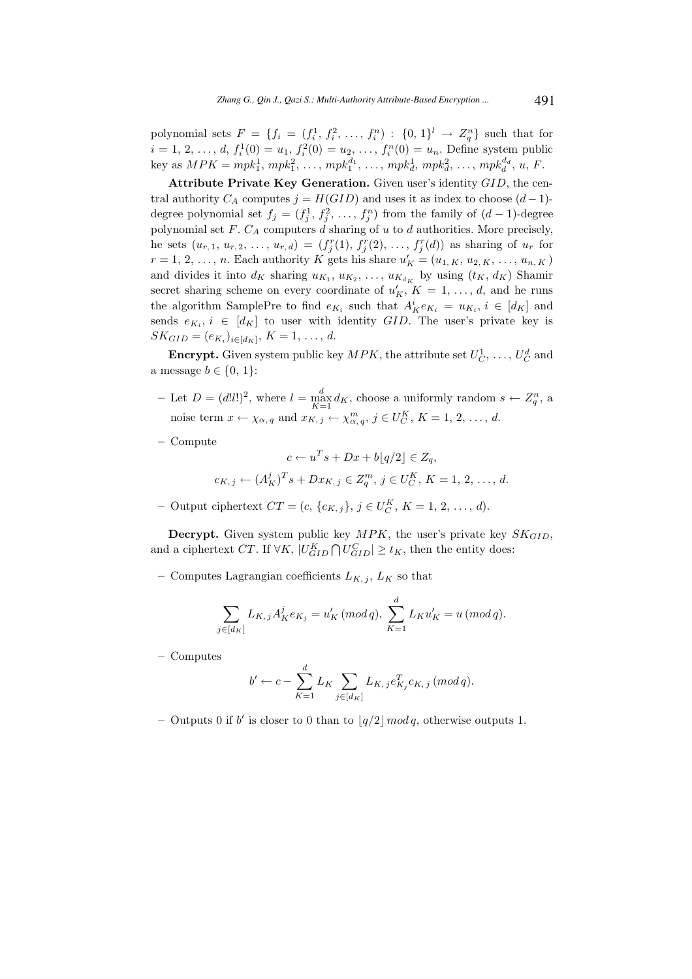polynomial sets  $F = \{f_i = (f_i^1, f_i^2, ..., f_i^n) : \{0, 1\}^l \to Z_q^n\}$  such that for  $i = 1, 2, ..., d, f_i^1(0) = u_1, f_i^2(0) = u_2, ..., f_i^n(0) = u_n$ . Define system public key as  $MPK = mpk_1^1, mpk_1^2, \ldots, mpk_1^{d_1}, \ldots, mpk_d^1, mpk_d^2, \ldots, mpk_d^{d_d}, u, F$ .

Attribute Private Key Generation. Given user's identity GID, the central authority  $C_A$  computes  $j = H(GID)$  and uses it as index to choose  $(d-1)$ degree polynomial set  $f_j = (f_j^1, f_j^2, \ldots, f_j^n)$  from the family of  $(d-1)$ -degree polynomial set  $F.$   $C_A$  computers  $d$  sharing of  $u$  to  $d$  authorities. More precisely, he sets  $(u_{r,1}, u_{r,2}, \ldots, u_{r,d}) = (f_j^r(1), f_j^r(2), \ldots, f_j^r(d))$  as sharing of  $u_r$  for  $r = 1, 2, \ldots, n$ . Each authority K gets his share  $u'_{K} = (u_{1,K}, u_{2,K}, \ldots, u_{n,K})$ and divides it into  $d_K$  sharing  $u_{K_1}, u_{K_2}, \ldots, u_{K_{d_K}}$  by using  $(t_K, d_K)$  Shamir secret sharing scheme on every coordinate of  $u'_{K}$ ,  $K = 1, \ldots, d$ , and he runs the algorithm SamplePre to find  $e_{K_i}$  such that  $A_K^i e_{K_i} = u_{K_i}, i \in [d_K]$  and sends  $e_{K_i}$ ,  $i \in [d_K]$  to user with identity  $GID$ . The user's private key is  $SK_{GID} = (e_{K_i})_{i \in [d_K]}, K = 1, ..., d.$ 

**Encrypt.** Given system public key  $MPK$ , the attribute set  $U_C^1, \ldots, U_C^d$  and a message  $b \in \{0, 1\}$ :

- Let  $D = (d!l!)^2$ , where  $l = \max_{K=1}^d d_K$ , choose a uniformly random  $s \leftarrow Z_q^n$ , a noise term  $x \leftarrow \chi_{\alpha, q}$  and  $x_{K, j} \leftarrow \chi_{\alpha, q}^{m}, j \in U_C^K$ ,  $K = 1, 2, ..., d$ .
- Compute

$$
c \leftarrow u^T s + Dx + b\lfloor q/2 \rfloor \in Z_q,
$$
  

$$
c_{K,j} \leftarrow (A_K^j)^T s + Dx_{K,j} \in Z_q^m, \ j \in U_C^K, \ K = 1, 2, \ \ldots, d.
$$

- Output ciphertext  $CT = (c, \{c_{K,j}\}, j \in U_C^K, K = 1, 2, ..., d)$ .

**Decrypt.** Given system public key  $MPK$ , the user's private key  $SK_{GID}$ , and a ciphertext CT. If  $\forall K, |U_{GID}^K \cap U_{GID}^C| \geq t_K$ , then the entity does:

– Computes Lagrangian coefficients  $L_{K, i}$ ,  $L_{K}$  so that

$$
\sum_{j \in [d_K]} L_{K,j} A_K^j e_{K_j} = u'_K \, (mod \, q), \, \sum_{K=1}^d L_K u'_K = u \, (mod \, q).
$$

– Computes

$$
b' \leftarrow c - \sum_{K=1}^{d} L_K \sum_{j \in [d_K]} L_{K,j} e_{K_j}^T c_{K,j} \, (mod \, q).
$$

- Outputs 0 if b' is closer to 0 than to  $\lfloor q/2 \rfloor \mod q$ , otherwise outputs 1.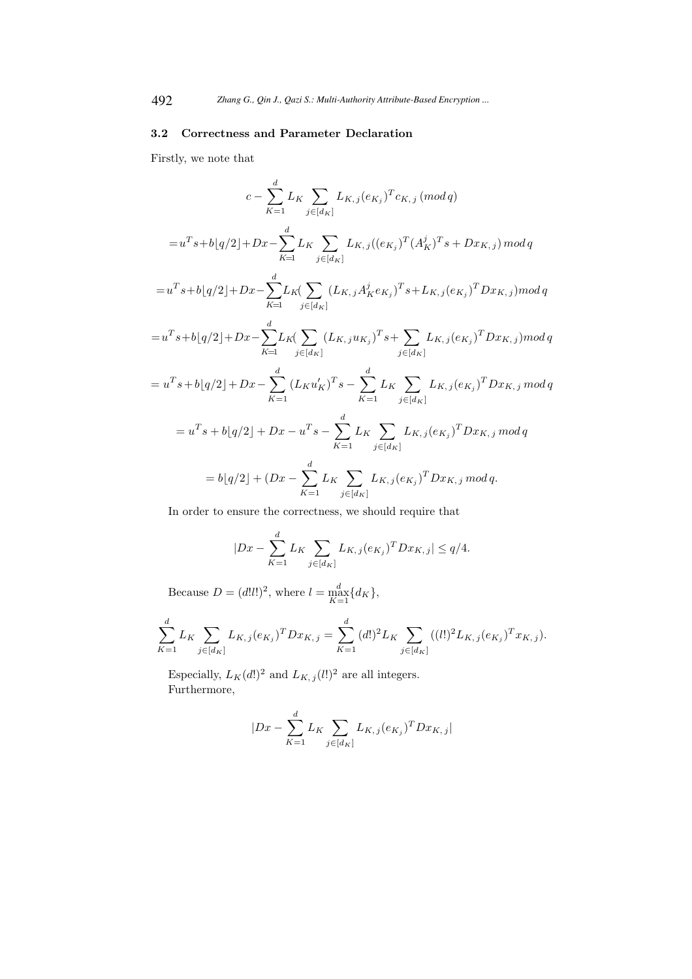### 3.2 Correctness and Parameter Declaration

Firstly, we note that

$$
c - \sum_{K=1}^{d} L_{K} \sum_{j \in [d_{K}]} L_{K,j}(e_{K_{j}})^{T} c_{K,j} \, (mod \, q)
$$
  
\n
$$
= u^{T} s + b[q/2] + Dx - \sum_{K=1}^{d} L_{K} \sum_{j \in [d_{K}]} L_{K,j} ((e_{K_{j}})^{T} (A_{K}^{j})^{T} s + Dx_{K,j}) \, mod \, q
$$
  
\n
$$
= u^{T} s + b[q/2] + Dx - \sum_{K=1}^{d} L_{K} (\sum_{j \in [d_{K}]} (L_{K,j} A_{K}^{j} e_{K_{j}})^{T} s + L_{K,j} (e_{K_{j}})^{T} Dx_{K,j}) \, mod \, q
$$
  
\n
$$
= u^{T} s + b[q/2] + Dx - \sum_{K=1}^{d} L_{K} (\sum_{j \in [d_{K}]} (L_{K,j} u_{K_{j}})^{T} s + \sum_{j \in [d_{K}]} L_{K,j} (e_{K_{j}})^{T} Dx_{K,j}) \, mod \, q
$$
  
\n
$$
= u^{T} s + b[q/2] + Dx - \sum_{K=1}^{d} (L_{K} u'_{K})^{T} s - \sum_{K=1}^{d} L_{K} \sum_{j \in [d_{K}]} L_{K,j} (e_{K,j})^{T} Dx_{K,j} \, mod \, q
$$
  
\n
$$
= u^{T} s + b[q/2] + Dx - u^{T} s - \sum_{K=1}^{d} L_{K} \sum_{j \in [d_{K}]} L_{K,j} (e_{K,j})^{T} Dx_{K,j} \, mod \, q
$$
  
\n
$$
= b[q/2] + (Dx - \sum_{K=1}^{d} L_{K} \sum_{j \in [d_{K}]} L_{K,j} (e_{K,j})^{T} Dx_{K,j} \, mod \, q.
$$

In order to ensure the correctness, we should require that

$$
|Dx - \sum_{K=1}^{d} L_K \sum_{j \in [d_K]} L_{K,j}(e_{K_j})^T D x_{K,j}| \le q/4.
$$

Because  $D = (d!l!)^2$ , where  $l = \max_{K=1}^{d} \{d_K\},\$ 

$$
\sum_{K=1}^{d} L_{K} \sum_{j \in [d_{K}]} L_{K,j}(e_{K_{j}})^{T} D x_{K,j} = \sum_{K=1}^{d} (d!)^{2} L_{K} \sum_{j \in [d_{K}]} ((l!)^{2} L_{K,j}(e_{K_{j}})^{T} x_{K,j}).
$$

Especially,  $L_K(d!)^2$  and  $L_{K,\,j}(l!)^2$  are all integers. Furthermore,

$$
|Dx - \sum_{K=1}^{d} L_K \sum_{j \in [d_K]} L_{K,j} (e_{K_j})^T D x_{K,j}|
$$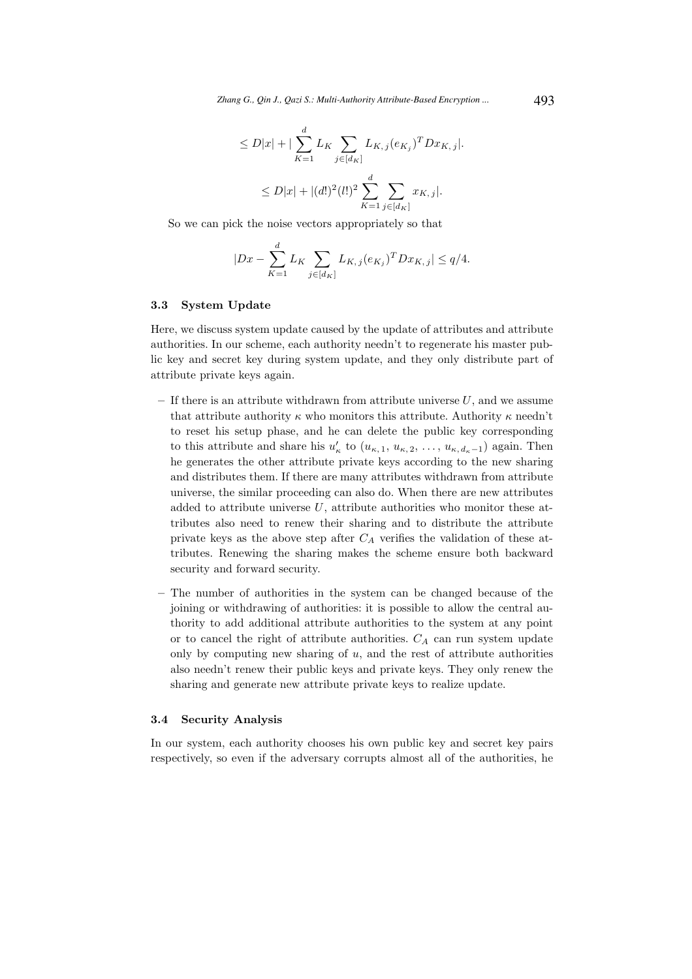$$
\leq D|x| + |\sum_{K=1}^{d} L_K \sum_{j \in [d_K]} L_{K,j}(e_{K_j})^T D x_{K,j}|.
$$
  

$$
\leq D|x| + |(d!)^2 (l!)^2 \sum_{K=1}^{d} \sum_{j \in [d_K]} x_{K,j}|.
$$

So we can pick the noise vectors appropriately so that

$$
|Dx - \sum_{K=1}^{d} L_K \sum_{j \in [d_K]} L_{K,j}(e_{K_j})^T D x_{K,j}| \le q/4.
$$

### 3.3 System Update

Here, we discuss system update caused by the update of attributes and attribute authorities. In our scheme, each authority needn't to regenerate his master public key and secret key during system update, and they only distribute part of attribute private keys again.

- If there is an attribute withdrawn from attribute universe  $U$ , and we assume that attribute authority  $\kappa$  who monitors this attribute. Authority  $\kappa$  needn't to reset his setup phase, and he can delete the public key corresponding to this attribute and share his  $u'_{\kappa}$  to  $(u_{\kappa,1}, u_{\kappa,2}, \ldots, u_{\kappa,d_{\kappa}-1})$  again. Then he generates the other attribute private keys according to the new sharing and distributes them. If there are many attributes withdrawn from attribute universe, the similar proceeding can also do. When there are new attributes added to attribute universe  $U$ , attribute authorities who monitor these attributes also need to renew their sharing and to distribute the attribute private keys as the above step after  $C_A$  verifies the validation of these attributes. Renewing the sharing makes the scheme ensure both backward security and forward security.
- The number of authorities in the system can be changed because of the joining or withdrawing of authorities: it is possible to allow the central authority to add additional attribute authorities to the system at any point or to cancel the right of attribute authorities.  $C_A$  can run system update only by computing new sharing of  $u$ , and the rest of attribute authorities also needn't renew their public keys and private keys. They only renew the sharing and generate new attribute private keys to realize update.

### 3.4 Security Analysis

In our system, each authority chooses his own public key and secret key pairs respectively, so even if the adversary corrupts almost all of the authorities, he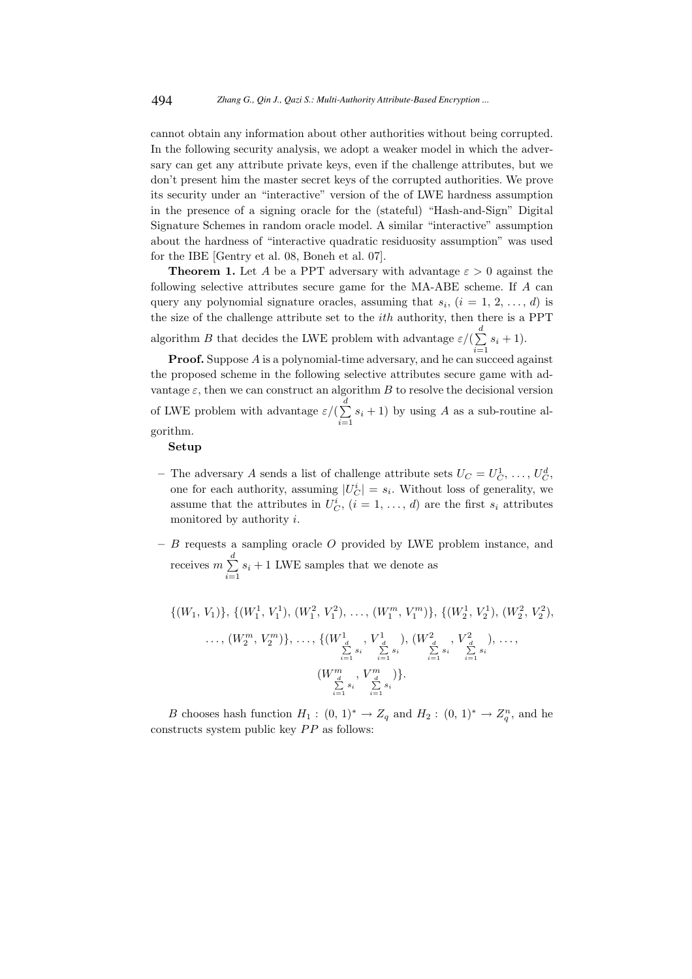cannot obtain any information about other authorities without being corrupted. In the following security analysis, we adopt a weaker model in which the adversary can get any attribute private keys, even if the challenge attributes, but we don't present him the master secret keys of the corrupted authorities. We prove its security under an "interactive" version of the of LWE hardness assumption in the presence of a signing oracle for the (stateful) "Hash-and-Sign" Digital Signature Schemes in random oracle model. A similar "interactive" assumption about the hardness of "interactive quadratic residuosity assumption" was used for the IBE [Gentry et al. 08, Boneh et al. 07].

**Theorem 1.** Let A be a PPT adversary with advantage  $\varepsilon > 0$  against the following selective attributes secure game for the MA-ABE scheme. If A can query any polynomial signature oracles, assuming that  $s_i$ ,  $(i = 1, 2, ..., d)$  is the size of the challenge attribute set to the  $ith$  authority, then there is a PPT algorithm B that decides the LWE problem with advantage  $\varepsilon/(\sum_{n=1}^d$  $\sum_{i=1} s_i + 1$ .

**Proof.** Suppose A is a polynomial-time adversary, and he can succeed against the proposed scheme in the following selective attributes secure game with advantage  $\varepsilon$ , then we can construct an algorithm B to resolve the decisional version of LWE problem with advantage  $\varepsilon/(\sum^d)$  $\sum_{i=1} s_i + 1$ ) by using A as a sub-routine algorithm.

#### Setup

- The adversary A sends a list of challenge attribute sets  $U_C = U_C^1, \ldots, U_C^d$ , one for each authority, assuming  $|U_C^i| = s_i$ . Without loss of generality, we assume that the attributes in  $U_C^i$ ,  $(i = 1, ..., d)$  are the first  $s_i$  attributes monitored by authority i.
- $B$  requests a sampling oracle  $O$  provided by LWE problem instance, and receives  $m \sum_{n=1}^{d}$  $\sum_{i=1} s_i + 1$  LWE samples that we denote as

$$
\{(W_1, V_1)\}, \{(W_1^1, V_1^1), (W_1^2, V_1^2), \dots, (W_1^m, V_1^m)\}, \{(W_2^1, V_2^1), (W_2^2, V_2^2), \dots, (W_2^m, V_2^m)\}, \dots, \{(W_{\frac{d}{\sum_{i=1}^{d} s_i}}^1, V_{\frac{d}{\sum_{i=1}^{d} s_i}}^1), (W_{\frac{d}{\sum_{i=1}^{d} s_i}}^2, V_{\frac{d}{\sum_{i=1}^{d} s_i}}^2), \dots, (W_{\frac{d}{\sum_{i=1}^{d} s_i}}^m, V_{\frac{d}{\sum_{i=1}^{d} s_i}}^m)\}.
$$

B chooses hash function  $H_1: (0, 1)^* \to Z_q$  and  $H_2: (0, 1)^* \to Z_q^n$ , and he constructs system public key  $PP$  as follows: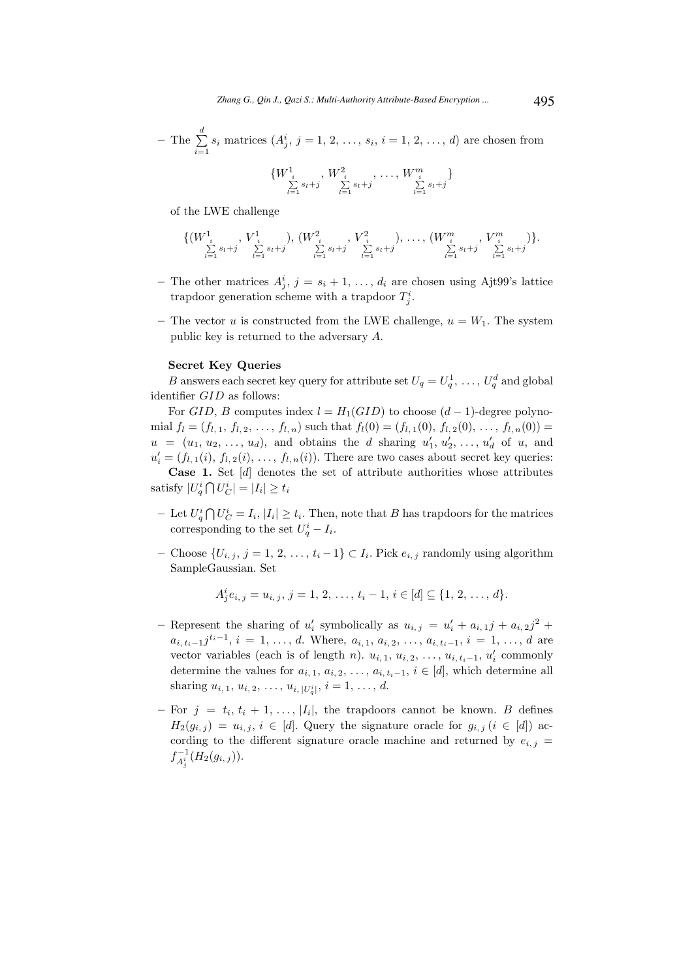– The  $\sum^d$  $\sum_{i=1} s_i$  matrices  $(A_j^i, j = 1, 2, ..., s_i, i = 1, 2, ..., d)$  are chosen from

$$
\{W_{\sum_{l=1}^{i}s_{l}+j}^{1}, W_{\sum_{l=1}^{i}s_{l}+j}^{2}, \ldots, W_{\sum_{l=1}^{m}s_{l}+j}^{m}\}
$$

of the LWE challenge

$$
\{ (W^1_{\substack{i \ \leq s_{l}+j}} V^1_{\substack{i \ \leq s_{l}+j}}), (W^2_{\substack{i \ \leq s_{l}+j}} V^2_{\substack{j \ \leq s_{l}+j}}), \ldots, (W^m_{\substack{i \ \leq s_{l}+j}} V^m_{\substack{j \ \leq s_{l}+j}} V^m_{\substack{j \ \leq s_{l}+j}}) \}.
$$

- The other matrices  $A_j^i$ ,  $j = s_i + 1, \ldots, d_i$  are chosen using Ajt99's lattice trapdoor generation scheme with a trapdoor  $T_j^i$ .
- The vector u is constructed from the LWE challenge,  $u = W_1$ . The system public key is returned to the adversary A.

#### Secret Key Queries

B answers each secret key query for attribute set  $U_q = U_q^1, \ldots, U_q^d$  and global identifier GID as follows:

For GID, B computes index  $l = H_1(GID)$  to choose  $(d-1)$ -degree polynomial  $f_l = (f_{l, 1}, f_{l, 2}, \ldots, f_{l, n})$  such that  $f_l(0) = (f_{l, 1}(0), f_{l, 2}(0), \ldots, f_{l, n}(0))$  $u = (u_1, u_2, \ldots, u_d)$ , and obtains the d sharing  $u'_1, u'_2, \ldots, u'_d$  of u, and  $u'_{i} = (f_{l,1}(i), f_{l,2}(i), \ldots, f_{l,n}(i)).$  There are two cases about secret key queries:

Case 1. Set [d] denotes the set of attribute authorities whose attributes satisfy  $|U_q^i \bigcap U_C^i| = |I_i| \ge t_i$ 

- Let  $U_q^i \bigcap U_C^i = I_i$ ,  $|I_i| \ge t_i$ . Then, note that B has trapdoors for the matrices corresponding to the set  $U_q^i - I_i$ .
- Choose  $\{U_{i,j}, j = 1, 2, \ldots, t_i 1\}$  ⊂  $I_i$ . Pick  $e_{i,j}$  randomly using algorithm SampleGaussian. Set

$$
A_j^i e_{i,j} = u_{i,j}, j = 1, 2, \ldots, t_i - 1, i \in [d] \subseteq \{1, 2, \ldots, d\}.
$$

- Represent the sharing of  $u'_i$  symbolically as  $u_{i,j} = u'_i + a_{i,1}j + a_{i,2}j^2 +$  $a_{i, t_i-1}j^{t_i-1}, i = 1, \ldots, d$ . Where,  $a_{i, 1}, a_{i, 2}, \ldots, a_{i, t_i-1}, i = 1, \ldots, d$  are vector variables (each is of length *n*).  $u_{i,1}, u_{i,2}, \ldots, u_{i,t_i-1}, u'_i$  commonly determine the values for  $a_{i, 1}, a_{i, 2}, \ldots, a_{i, t_i-1}, i \in [d]$ , which determine all sharing  $u_{i,1}, u_{i,2}, \ldots, u_{i,|U_q^i|}, i = 1, \ldots, d$ .
- $-$  For  $j = t_i, t_i + 1, \ldots, |I_i|$ , the trapdoors cannot be known. B defines  $H_2(g_{i,j}) = u_{i,j}, i \in [d]$ . Query the signature oracle for  $g_{i,j}$   $(i \in [d])$  according to the different signature oracle machine and returned by  $e_{i,j}$  =  $f_{A_j^i}^{-1}(H_2(g_{i,j}))$ .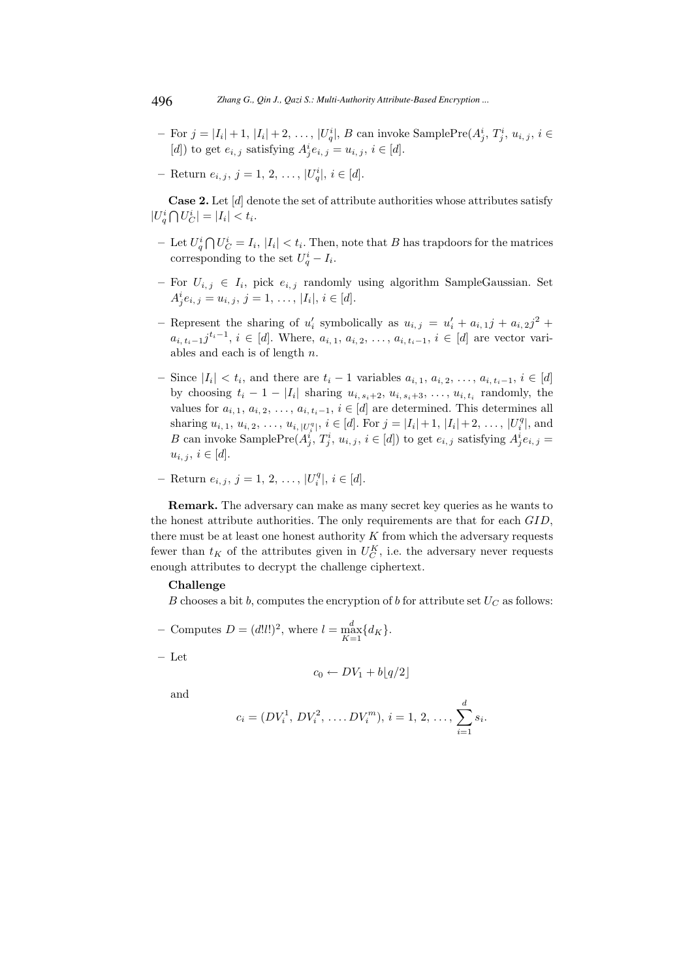- For  $j = |I_i| + 1$ ,  $|I_i| + 2, \ldots, |U_q^i|$ , B can invoke SamplePre $(A_j^i, T_j^i, u_{i,j}, i \in$ [d]) to get  $e_{i,j}$  satisfying  $A_j^i e_{i,j} = u_{i,j}, i \in [d]$ .
- $-$  Return  $e_{i,j}, j = 1, 2, ..., |U_q^i|, i \in [d].$

**Case 2.** Let  $[d]$  denote the set of attribute authorities whose attributes satisfy  $|U_q^i \bigcap U_C^i| = |I_i| < t_i.$ 

- Let  $U_q^i \bigcap U_C^i = I_i$ ,  $|I_i| < t_i$ . Then, note that B has trapdoors for the matrices corresponding to the set  $U_q^i - I_i$ .
- $−$  For  $U_{i,j}$  ∈  $I_i$ , pick  $e_{i,j}$  randomly using algorithm SampleGaussian. Set  $A_j^i e_{i,j} = u_{i,j}, j = 1, \ldots, |I_i|, i \in [d].$
- Represent the sharing of  $u'_i$  symbolically as  $u_{i,j} = u'_i + a_{i,1}j + a_{i,2}j^2 +$  $a_{i, t_i-1}j^{t_i-1}, i \in [d]$ . Where,  $a_{i, 1}, a_{i, 2}, \ldots, a_{i, t_i-1}, i \in [d]$  are vector variables and each is of length  $n$ .
- $-$  Since  $|I_i|$  <  $t_i$ , and there are  $t_i$  − 1 variables  $a_{i,1}, a_{i,2}, \ldots, a_{i,t_i-1}, i \in [d]$ by choosing  $t_i - 1 - |I_i|$  sharing  $u_{i, s_i+2}, u_{i, s_i+3}, \ldots, u_{i, t_i}$  randomly, the values for  $a_{i, 1}, a_{i, 2}, \ldots, a_{i, t_i-1}, i \in [d]$  are determined. This determines all sharing  $u_{i,1}, u_{i,2}, \ldots, u_{i, |U_i^q|}, i \in [d]$ . For  $j = |I_i| + 1, |I_i| + 2, \ldots, |U_i^q|$ , and B can invoke SamplePre $(A_j^i, T_j^i, u_{i,j}, i \in [d])$  to get  $e_{i,j}$  satisfying  $A_j^i e_{i,j} =$  $u_{i, j}, i \in [d].$
- $-$  Return  $e_{i,j}, j = 1, 2, ..., |U_i^q|, i \in [d].$

Remark. The adversary can make as many secret key queries as he wants to the honest attribute authorities. The only requirements are that for each GID, there must be at least one honest authority  $K$  from which the adversary requests fewer than  $t_K$  of the attributes given in  $U_C^K$ , i.e. the adversary never requests enough attributes to decrypt the challenge ciphertext.

### Challenge

B chooses a bit b, computes the encryption of b for attribute set  $U_C$  as follows:

- Computes  $D = (d!l!)^2$ , where  $l = \max_{K=1}^{d} \{d_K\}.$
- Let

$$
c_0 \leftarrow DV_1 + b\lfloor q/2 \rfloor
$$

and

$$
c_i = (DV_i^1, DV_i^2, \dots DV_i^m), i = 1, 2, \dots, \sum_{i=1}^d s_i.
$$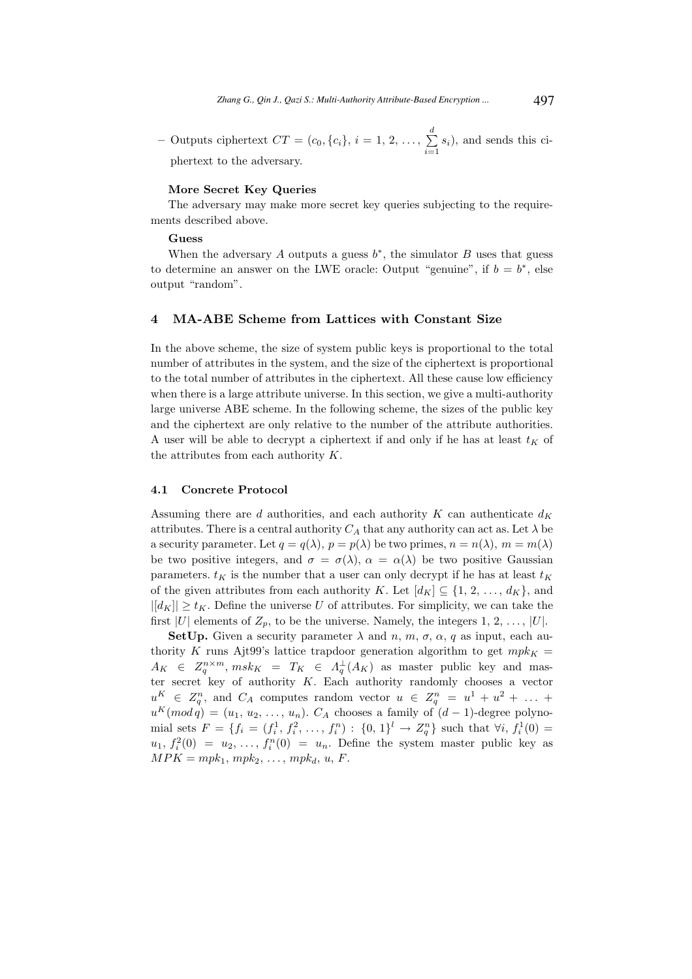- Outputs ciphertext  $CT = (c_0, \{c_i\}, i = 1, 2, \ldots, \sum_{i=1}^{d}$  $\sum_{i=1} s_i$ , and sends this ciphertext to the adversary.

### More Secret Key Queries

The adversary may make more secret key queries subjecting to the requirements described above.

### Guess

When the adversary  $A$  outputs a guess  $b^*$ , the simulator  $B$  uses that guess to determine an answer on the LWE oracle: Output "genuine", if  $b = b^*$ , else output "random".

### 4 MA-ABE Scheme from Lattices with Constant Size

In the above scheme, the size of system public keys is proportional to the total number of attributes in the system, and the size of the ciphertext is proportional to the total number of attributes in the ciphertext. All these cause low efficiency when there is a large attribute universe. In this section, we give a multi-authority large universe ABE scheme. In the following scheme, the sizes of the public key and the ciphertext are only relative to the number of the attribute authorities. A user will be able to decrypt a ciphertext if and only if he has at least  $t_K$  of the attributes from each authority  $K$ .

### 4.1 Concrete Protocol

Assuming there are  $d$  authorities, and each authority  $K$  can authenticate  $d_K$ attributes. There is a central authority  $C_A$  that any authority can act as. Let  $\lambda$  be a security parameter. Let  $q = q(\lambda)$ ,  $p = p(\lambda)$  be two primes,  $n = n(\lambda)$ ,  $m = m(\lambda)$ be two positive integers, and  $\sigma = \sigma(\lambda)$ ,  $\alpha = \alpha(\lambda)$  be two positive Gaussian parameters.  $t_K$  is the number that a user can only decrypt if he has at least  $t_K$ of the given attributes from each authority K. Let  $[d_K] \subseteq \{1, 2, ..., d_K\}$ , and  $||d_K|| \geq t_K$ . Define the universe U of attributes. For simplicity, we can take the first |U| elements of  $Z_p$ , to be the universe. Namely, the integers 1, 2, ..., |U|.

SetUp. Given a security parameter  $\lambda$  and  $n, m, \sigma, \alpha, q$  as input, each authority K runs Ajt99's lattice trapdoor generation algorithm to get  $mpk<sub>K</sub>$  =  $A_K \in Z_q^{n \times m}$ ,  $msk_K = T_K \in A_q^{\perp}(A_K)$  as master public key and master secret key of authority K. Each authority randomly chooses a vector  $u<sup>K</sup> \in Z_q^n$ , and  $C_A$  computes random vector  $u \in Z_q^n = u^1 + u^2 + \ldots$  $u^K (mod q) = (u_1, u_2, \ldots, u_n)$ .  $C_A$  chooses a family of  $(d-1)$ -degree polynomial sets  $F = \{f_i = (f_i^1, f_i^2, \ldots, f_i^n) : \{0, 1\}^l \to Z_q^n\}$  such that  $\forall i, f_i^1(0) =$  $u_1, f_i^2(0) = u_2, \ldots, f_i^n(0) = u_n$ . Define the system master public key as  $MPK = mpk_1, mpk_2, ..., mpk_d, u, F.$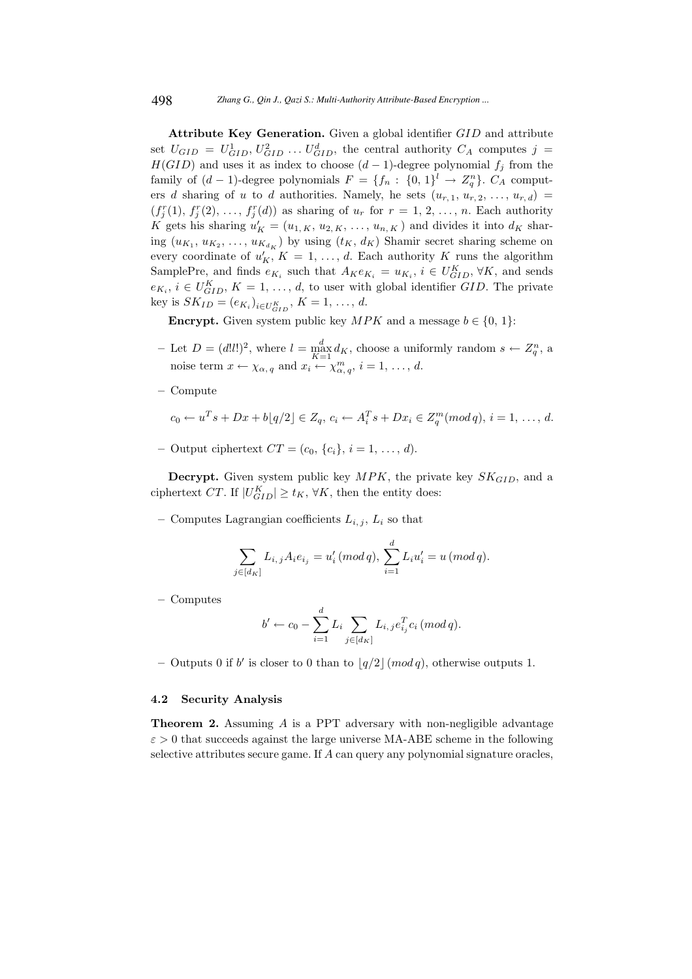Attribute Key Generation. Given a global identifier GID and attribute set  $U_{GID} = U_{GID}^1, U_{GID}^2, \ldots, U_{GID}^d$ , the central authority  $C_A$  computes  $j =$  $H(GID)$  and uses it as index to choose  $(d-1)$ -degree polynomial  $f_j$  from the family of  $(d-1)$ -degree polynomials  $F = \{f_n: \{0, 1\}^l \to Z_q^n\}$ .  $C_A$  computers d sharing of u to d authorities. Namely, he sets  $(u_{r,1}, u_{r,2}, \ldots, u_{r,d}) =$  $(f_j^r(1), f_j^r(2), \ldots, f_j^r(d))$  as sharing of  $u_r$  for  $r = 1, 2, \ldots, n$ . Each authority K gets his sharing  $u'_K = (u_{1,K}, u_{2,K}, \ldots, u_{n,K})$  and divides it into  $d_K$  sharing  $(u_{K_1}, u_{K_2}, \ldots, u_{K_{d_K}})$  by using  $(t_K, d_K)$  Shamir secret sharing scheme on every coordinate of  $u'_{K}$ ,  $K = 1, ..., d$ . Each authority K runs the algorithm SamplePre, and finds  $e_{K_i}$  such that  $A_K e_{K_i} = u_{K_i}$ ,  $i \in U_{GID}^K$ ,  $\forall K$ , and sends  $e_{K_i}, i \in U_{GID}^K, K = 1, \ldots, d$ , to user with global identifier GID. The private key is  $SK_{ID} = (e_{K_i})_{i \in U_{GID}^K}$ ,  $K = 1, ..., d$ .

**Encrypt.** Given system public key  $MPK$  and a message  $b \in \{0, 1\}$ :

- Let  $D = (d!l!)^2$ , where  $l = \max_{K=1}^d d_K$ , choose a uniformly random  $s \leftarrow Z_q^n$ , a noise term  $x \leftarrow \chi_{\alpha, q}$  and  $x_i \leftarrow \chi_{\alpha, q}^m$ ,  $i = 1, ..., d$ .
- Compute

$$
c_0 \leftarrow u^T s + Dx + b[q/2] \in Z_q, \ c_i \leftarrow A_i^T s + Dx_i \in Z_q^m (mod\, q), \ i = 1, \ \ldots, \ d.
$$

– Output ciphertext  $CT = (c_0, \{c_i\}, i = 1, \ldots, d).$ 

**Decrypt.** Given system public key  $MPK$ , the private key  $SK_{GID}$ , and a ciphertext CT. If  $|U_{GID}^K| \geq t_K$ ,  $\forall K$ , then the entity does:

– Computes Lagrangian coefficients  $L_{i,j}$ ,  $L_i$  so that

$$
\sum_{j \in [d_K]} L_{i,j} A_i e_{i_j} = u'_i \, (mod \, q), \, \sum_{i=1}^d L_i u'_i = u \, (mod \, q).
$$

– Computes

$$
b' \leftarrow c_0 - \sum_{i=1}^d L_i \sum_{j \in [d_K]} L_{i,j} e_{i_j}^T c_i \, (mod \, q).
$$

- Outputs 0 if b' is closer to 0 than to  $\lfloor q/2 \rfloor \pmod{q}$ , otherwise outputs 1.

### 4.2 Security Analysis

**Theorem 2.** Assuming  $\vec{A}$  is a PPT adversary with non-negligible advantage  $\varepsilon > 0$  that succeeds against the large universe MA-ABE scheme in the following selective attributes secure game. If A can query any polynomial signature oracles,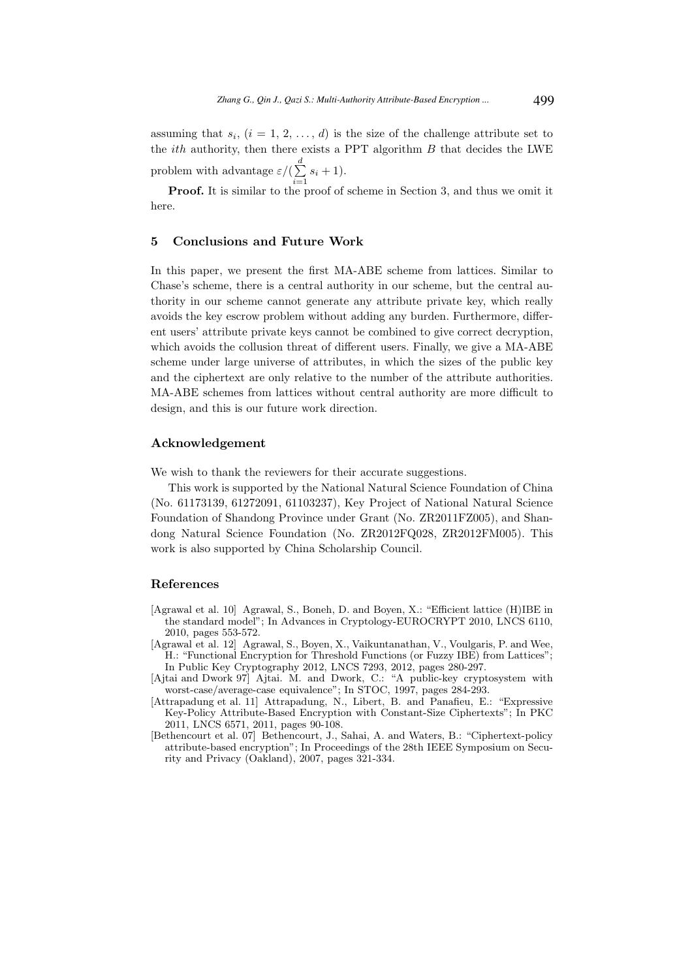assuming that  $s_i$ ,  $(i = 1, 2, ..., d)$  is the size of the challenge attribute set to the  $ith$  authority, then there exists a PPT algorithm  $B$  that decides the LWE problem with advantage  $\varepsilon/(\sum^d$  $\sum_{i=1} s_i + 1$ .

Proof. It is similar to the proof of scheme in Section 3, and thus we omit it here.

### 5 Conclusions and Future Work

In this paper, we present the first MA-ABE scheme from lattices. Similar to Chase's scheme, there is a central authority in our scheme, but the central authority in our scheme cannot generate any attribute private key, which really avoids the key escrow problem without adding any burden. Furthermore, different users' attribute private keys cannot be combined to give correct decryption, which avoids the collusion threat of different users. Finally, we give a MA-ABE scheme under large universe of attributes, in which the sizes of the public key and the ciphertext are only relative to the number of the attribute authorities. MA-ABE schemes from lattices without central authority are more difficult to design, and this is our future work direction.

### Acknowledgement

We wish to thank the reviewers for their accurate suggestions.

This work is supported by the National Natural Science Foundation of China (No. 61173139, 61272091, 61103237), Key Project of National Natural Science Foundation of Shandong Province under Grant (No. ZR2011FZ005), and Shandong Natural Science Foundation (No. ZR2012FQ028, ZR2012FM005). This work is also supported by China Scholarship Council.

### References

- [Agrawal et al. 10] Agrawal, S., Boneh, D. and Boyen, X.: "Efficient lattice (H)IBE in the standard model"; In Advances in Cryptology-EUROCRYPT 2010, LNCS 6110, 2010, pages 553-572.
- [Agrawal et al. 12] Agrawal, S., Boyen, X., Vaikuntanathan, V., Voulgaris, P. and Wee, H.: "Functional Encryption for Threshold Functions (or Fuzzy IBE) from Lattices"; In Public Key Cryptography 2012, LNCS 7293, 2012, pages 280-297.
- [Ajtai and Dwork 97] Ajtai. M. and Dwork, C.: "A public-key cryptosystem with worst-case/average-case equivalence"; In STOC, 1997, pages 284-293.
- [Attrapadung et al. 11] Attrapadung, N., Libert, B. and Panafieu, E.: "Expressive Key-Policy Attribute-Based Encryption with Constant-Size Ciphertexts"; In PKC 2011, LNCS 6571, 2011, pages 90-108.
- [Bethencourt et al. 07] Bethencourt, J., Sahai, A. and Waters, B.: "Ciphertext-policy attribute-based encryption"; In Proceedings of the 28th IEEE Symposium on Security and Privacy (Oakland), 2007, pages 321-334.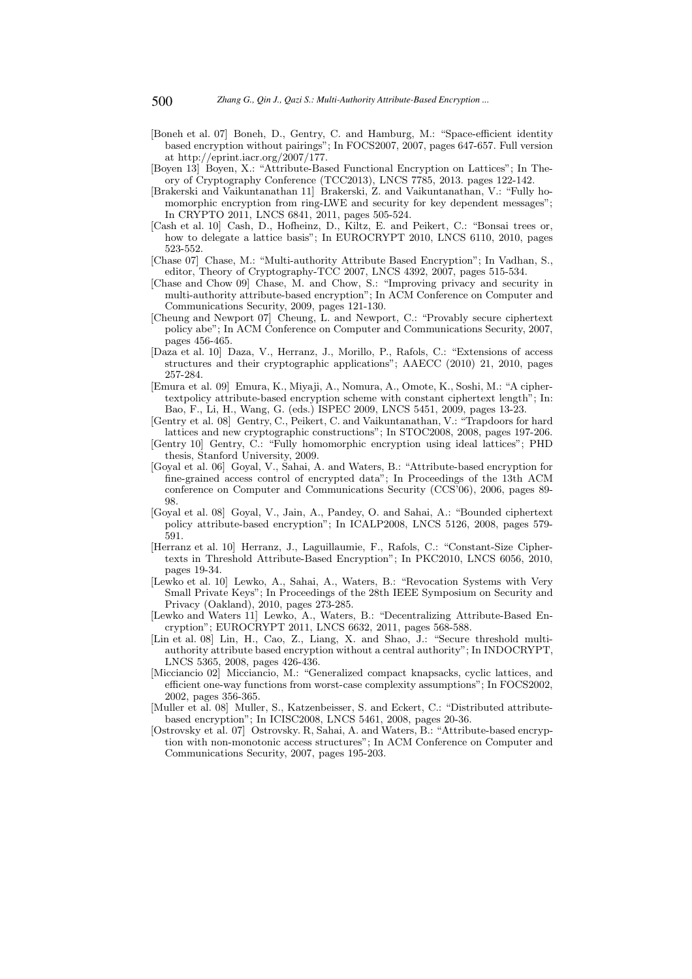- [Boneh et al. 07] Boneh, D., Gentry, C. and Hamburg, M.: "Space-efficient identity based encryption without pairings"; In FOCS2007, 2007, pages 647-657. Full version at http://eprint.iacr.org/2007/177.
- [Boyen 13] Boyen, X.: "Attribute-Based Functional Encryption on Lattices"; In Theory of Cryptography Conference (TCC2013), LNCS 7785, 2013. pages 122-142.
- [Brakerski and Vaikuntanathan 11] Brakerski, Z. and Vaikuntanathan, V.: "Fully homomorphic encryption from ring-LWE and security for key dependent messages"; In CRYPTO 2011, LNCS 6841, 2011, pages 505-524.
- [Cash et al. 10] Cash, D., Hofheinz, D., Kiltz, E. and Peikert, C.: "Bonsai trees or, how to delegate a lattice basis"; In EUROCRYPT 2010, LNCS 6110, 2010, pages 523-552.
- [Chase 07] Chase, M.: "Multi-authority Attribute Based Encryption"; In Vadhan, S., editor, Theory of Cryptography-TCC 2007, LNCS 4392, 2007, pages 515-534.
- [Chase and Chow 09] Chase, M. and Chow, S.: "Improving privacy and security in multi-authority attribute-based encryption"; In ACM Conference on Computer and Communications Security, 2009, pages 121-130.
- [Cheung and Newport 07] Cheung, L. and Newport, C.: "Provably secure ciphertext policy abe"; In ACM Conference on Computer and Communications Security, 2007, pages 456-465.
- [Daza et al. 10] Daza, V., Herranz, J., Morillo, P., Rafols, C.: "Extensions of access structures and their cryptographic applications"; AAECC (2010) 21, 2010, pages 257-284.
- [Emura et al. 09] Emura, K., Miyaji, A., Nomura, A., Omote, K., Soshi, M.: "A ciphertextpolicy attribute-based encryption scheme with constant ciphertext length"; In: Bao, F., Li, H., Wang, G. (eds.) ISPEC 2009, LNCS 5451, 2009, pages 13-23.
- [Gentry et al. 08] Gentry, C., Peikert, C. and Vaikuntanathan, V.: "Trapdoors for hard lattices and new cryptographic constructions"; In STOC2008, 2008, pages 197-206.
- [Gentry 10] Gentry, C.: "Fully homomorphic encryption using ideal lattices"; PHD thesis, Stanford University, 2009.
- [Goyal et al. 06] Goyal, V., Sahai, A. and Waters, B.: "Attribute-based encryption for fine-grained access control of encrypted data"; In Proceedings of the 13th ACM conference on Computer and Communications Security (CCS'06), 2006, pages 89- 98.
- [Goyal et al. 08] Goyal, V., Jain, A., Pandey, O. and Sahai, A.: "Bounded ciphertext policy attribute-based encryption"; In ICALP2008, LNCS 5126, 2008, pages 579- 591.
- [Herranz et al. 10] Herranz, J., Laguillaumie, F., Rafols, C.: "Constant-Size Ciphertexts in Threshold Attribute-Based Encryption"; In PKC2010, LNCS 6056, 2010, pages 19-34.
- [Lewko et al. 10] Lewko, A., Sahai, A., Waters, B.: "Revocation Systems with Very Small Private Keys"; In Proceedings of the 28th IEEE Symposium on Security and Privacy (Oakland), 2010, pages 273-285.
- [Lewko and Waters 11] Lewko, A., Waters, B.: "Decentralizing Attribute-Based Encryption"; EUROCRYPT 2011, LNCS 6632, 2011, pages 568-588.
- [Lin et al. 08] Lin, H., Cao, Z., Liang, X. and Shao, J.: "Secure threshold multiauthority attribute based encryption without a central authority"; In INDOCRYPT, LNCS 5365, 2008, pages 426-436.
- [Micciancio 02] Micciancio, M.: "Generalized compact knapsacks, cyclic lattices, and efficient one-way functions from worst-case complexity assumptions"; In FOCS2002, 2002, pages 356-365.
- [Muller et al. 08] Muller, S., Katzenbeisser, S. and Eckert, C.: "Distributed attributebased encryption"; In ICISC2008, LNCS 5461, 2008, pages 20-36.
- [Ostrovsky et al. 07] Ostrovsky. R, Sahai, A. and Waters, B.: "Attribute-based encryption with non-monotonic access structures"; In ACM Conference on Computer and Communications Security, 2007, pages 195-203.